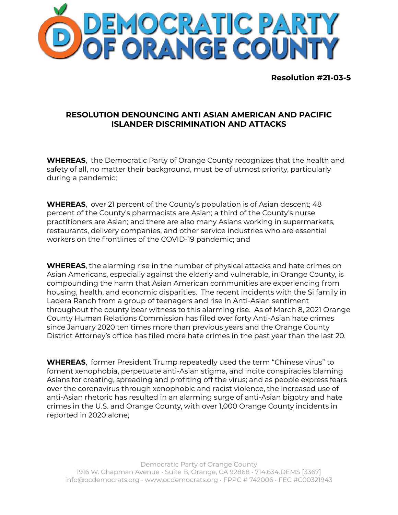

**Resolution #21-03-5**

## **RESOLUTION DENOUNCING ANTI ASIAN AMERICAN AND PACIFIC ISLANDER DISCRIMINATION AND ATTACKS**

**WHEREAS**, the Democratic Party of Orange County recognizes that the health and safety of all, no matter their background, must be of utmost priority, particularly during a pandemic;

**WHEREAS**, over 21 percent of the County's population is of Asian descent; 48 percent of the County's pharmacists are Asian; a third of the County's nurse practitioners are Asian; and there are also many Asians working in supermarkets, restaurants, delivery companies, and other service industries who are essential workers on the frontlines of the COVID-19 pandemic; and

**WHEREAS**, the alarming rise in the number of physical attacks and hate crimes on Asian Americans, especially against the elderly and vulnerable, in Orange County, is compounding the harm that Asian American communities are experiencing from housing, health, and economic disparities. The recent incidents with the Si family in Ladera Ranch from a group of teenagers and rise in Anti-Asian sentiment throughout the county bear witness to this alarming rise. As of March 8, 2021 Orange County Human Relations Commission has filed over forty Anti-Asian hate crimes since January 2020 ten times more than previous years and the Orange County District Attorney's office has filed more hate crimes in the past year than the last 20.

**WHEREAS**, former President Trump repeatedly used the term "Chinese virus" to foment xenophobia, perpetuate anti-Asian stigma, and incite conspiracies blaming Asians for creating, spreading and profiting off the virus; and as people express fears over the coronavirus through xenophobic and racist violence, the increased use of anti-Asian rhetoric has resulted in an alarming surge of anti-Asian bigotry and hate crimes in the U.S. and Orange County, with over 1,000 Orange County incidents in reported in 2020 alone;